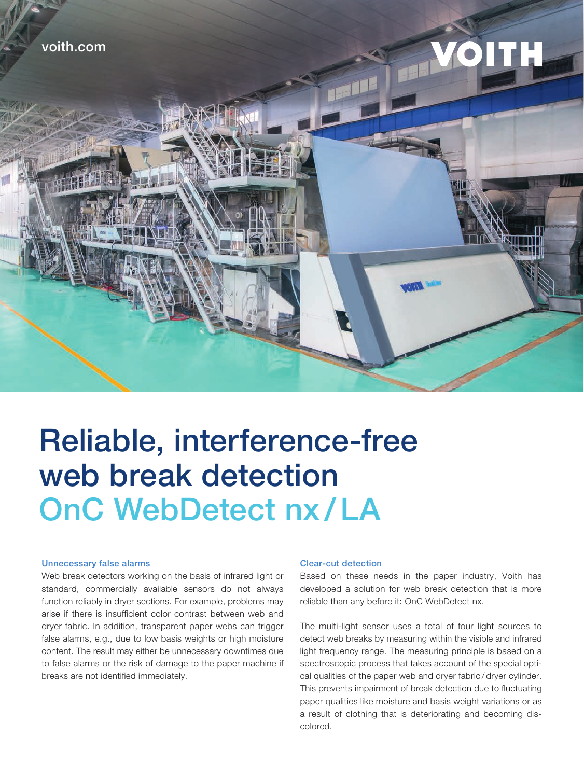

# Reliable, interference-free web break detection OnC WebDetect nx / LA

#### Unnecessary false alarms

Web break detectors working on the basis of infrared light or standard, commercially available sensors do not always function reliably in dryer sections. For example, problems may arise if there is insufficient color contrast between web and dryer fabric. In addition, transparent paper webs can trigger false alarms, e.g., due to low basis weights or high moisture content. The result may either be unnecessary downtimes due to false alarms or the risk of damage to the paper machine if breaks are not identified immediately.

## Clear-cut detection

Based on these needs in the paper industry, Voith has developed a solution for web break detection that is more reliable than any before it: OnC WebDetect nx.

The multi-light sensor uses a total of four light sources to detect web breaks by measuring within the visible and infrared light frequency range. The measuring principle is based on a spectroscopic process that takes account of the special optical qualities of the paper web and dryer fabric / dryer cylinder. This prevents impairment of break detection due to fluctuating paper qualities like moisture and basis weight variations or as a result of clothing that is deteriorating and becoming discolored.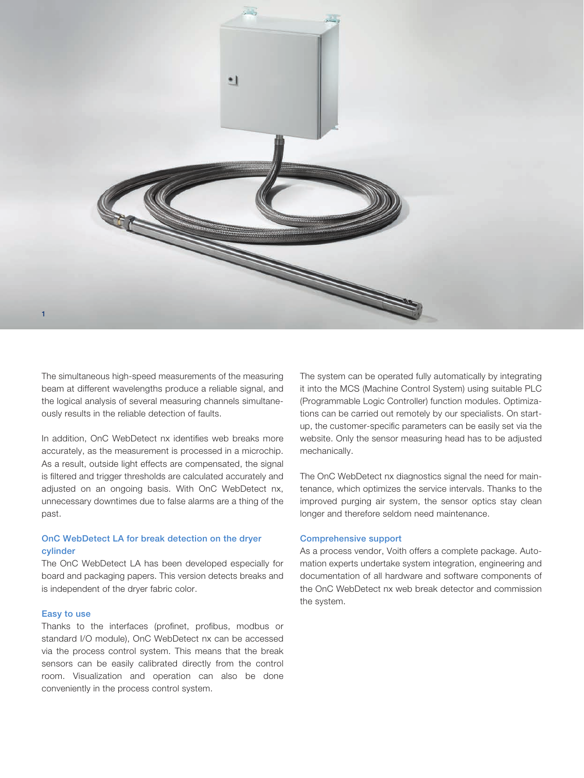

The simultaneous high-speed measurements of the measuring beam at different wavelengths produce a reliable signal, and the logical analysis of several measuring channels simultaneously results in the reliable detection of faults.

In addition, OnC WebDetect nx identifies web breaks more accurately, as the measurement is processed in a microchip. As a result, outside light effects are compensated, the signal is filtered and trigger thresholds are calculated accurately and adjusted on an ongoing basis. With OnC WebDetect nx, unnecessary downtimes due to false alarms are a thing of the past.

# OnC WebDetect LA for break detection on the dryer cylinder

The OnC WebDetect LA has been developed especially for board and packaging papers. This version detects breaks and is independent of the dryer fabric color.

## Easy to use

Thanks to the interfaces (profinet, profibus, modbus or standard I/O module), OnC WebDetect nx can be accessed via the process control system. This means that the break sensors can be easily calibrated directly from the control room. Visualization and operation can also be done conveniently in the process control system.

The system can be operated fully automatically by integrating it into the MCS (Machine Control System) using suitable PLC (Programmable Logic Controller) function modules. Optimizations can be carried out remotely by our specialists. On startup, the customer-specific parameters can be easily set via the website. Only the sensor measuring head has to be adjusted mechanically.

The OnC WebDetect nx diagnostics signal the need for maintenance, which optimizes the service intervals. Thanks to the improved purging air system, the sensor optics stay clean longer and therefore seldom need maintenance.

### Comprehensive support

As a process vendor, Voith offers a complete package. Automation experts undertake system integration, engineering and documentation of all hardware and software components of the OnC WebDetect nx web break detector and commission the system.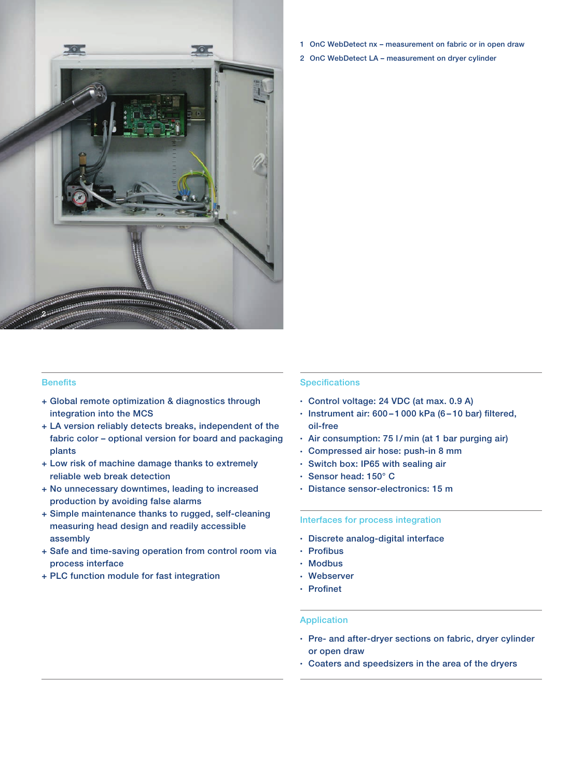

- **Benefits**
- + Global remote optimization & diagnostics through integration into the MCS
- + LA version reliably detects breaks, independent of the fabric color – optional version for board and packaging plants
- + Low risk of machine damage thanks to extremely reliable web break detection
- + No unnecessary downtimes, leading to increased production by avoiding false alarms
- + Simple maintenance thanks to rugged, self-cleaning measuring head design and readily accessible assembly
- + Safe and time-saving operation from control room via process interface
- + PLC function module for fast integration
- 1 OnC WebDetect nx measurement on fabric or in open draw
- 2 OnC WebDetect LA measurement on dryer cylinder

# **Specifications**

- Control voltage: 24 VDC (at max. 0.9 A)
- Instrument air: 600 1 000 kPa (6 10 bar) filtered, oil-free
- Air consumption: 75 l/ min (at 1 bar purging air)
- Compressed air hose: push-in 8 mm
- Switch box: IP65 with sealing air
- Sensor head: 150° C
- Distance sensor-electronics: 15 m

## Interfaces for process integration

- Discrete analog-digital interface
- Profibus
- Modbus
- Webserver
- Profinet

#### Application

- Pre- and after-dryer sections on fabric, dryer cylinder or open draw
- Coaters and speedsizers in the area of the dryers